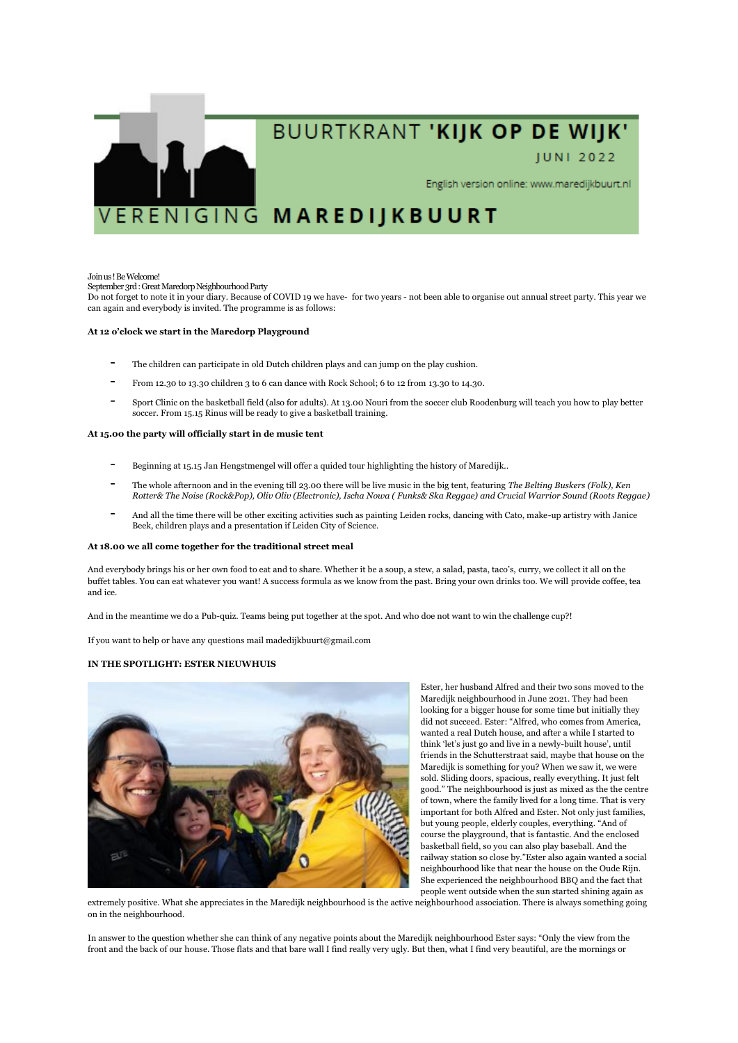

# BUURTKRANT 'KIJK OP DE WIJK'

# **JUNI 2022**

English version online: www.maredijkbuurt.nl

# VERENIGING MAREDIJKBUURT

## Join us ! Be Welcome!

September 3rd : Great Maredorp Neighbourhood Party

Do not forget to note it in your diary. Because of COVID 19 we have- for two years - not been able to organise out annual street party. This year we can again and everybody is invited. The programme is as follows:

# **At 12 o'clock we start in the Maredorp Playground**

- The children can participate in old Dutch children plays and can jump on the play cushion.
- From 12.30 to 13.30 children 3 to 6 can dance with Rock School; 6 to 12 from 13.30 to 14.30.
- Sport Clinic on the basketball field (also for adults). At 13.00 Nouri from the soccer club Roodenburg will teach you how to play better soccer. From 15.15 Rinus will be ready to give a basketball training.

## **At 15.00 the party will officially start in de music tent**

- Beginning at 15.15 Jan Hengstmengel will offer a quided tour highlighting the history of Maredijk..
- The whole afternoon and in the evening till 23.00 there will be live music in the big tent, featuring *The Belting Buskers (Folk), Ken Rotter& The Noise (Rock&Pop), Oliv Oliv (Electronic), Ischa Nowa ( Funks& Ska Reggae) and Crucial Warrior Sound (Roots Reggae)*
- And all the time there will be other exciting activities such as painting Leiden rocks, dancing with Cato, make-up artistry with Janice Beek, children plays and a presentation if Leiden City of Science.

## **At 18.00 we all come together for the traditional street meal**

And everybody brings his or her own food to eat and to share. Whether it be a soup, a stew, a salad, pasta, taco's, curry, we collect it all on the buffet tables. You can eat whatever you want! A success formula as we know from the past. Bring your own drinks too. We will provide coffee, tea and ice.

And in the meantime we do a Pub-quiz. Teams being put together at the spot. And who doe not want to win the challenge cup?!

If you want to help or have any questions mail madedijkbuurt@gmail.com

## **IN THE SPOTLIGHT: ESTER NIEUWHUIS**



Ester, her husband Alfred and their two sons moved to the Maredijk neighbourhood in June 2021. They had been looking for a bigger house for some time but initially they did not succeed. Ester: "Alfred, who comes from America, wanted a real Dutch house, and after a while I started to think 'let's just go and live in a newly-built house', until friends in the Schutterstraat said, maybe that house on the Maredijk is something for you? When we saw it, we were sold. Sliding doors, spacious, really everything. It just felt good." The neighbourhood is just as mixed as the the centre of town, where the family lived for a long time. That is very important for both Alfred and Ester. Not only just families, but young people, elderly couples, everything. "And of course the playground, that is fantastic. And the enclosed basketball field, so you can also play baseball. And the railway station so close by."Ester also again wanted a social neighbourhood like that near the house on the Oude Rijn. She experienced the neighbourhood BBQ and the fact that people went outside when the sun started shining again as

extremely positive. What she appreciates in the Maredijk neighbourhood is the active neighbourhood association. There is always something going on in the neighbourhood.

In answer to the question whether she can think of any negative points about the Maredijk neighbourhood Ester says: "Only the view from the front and the back of our house. Those flats and that bare wall I find really very ugly. But then, what I find very beautiful, are the mornings or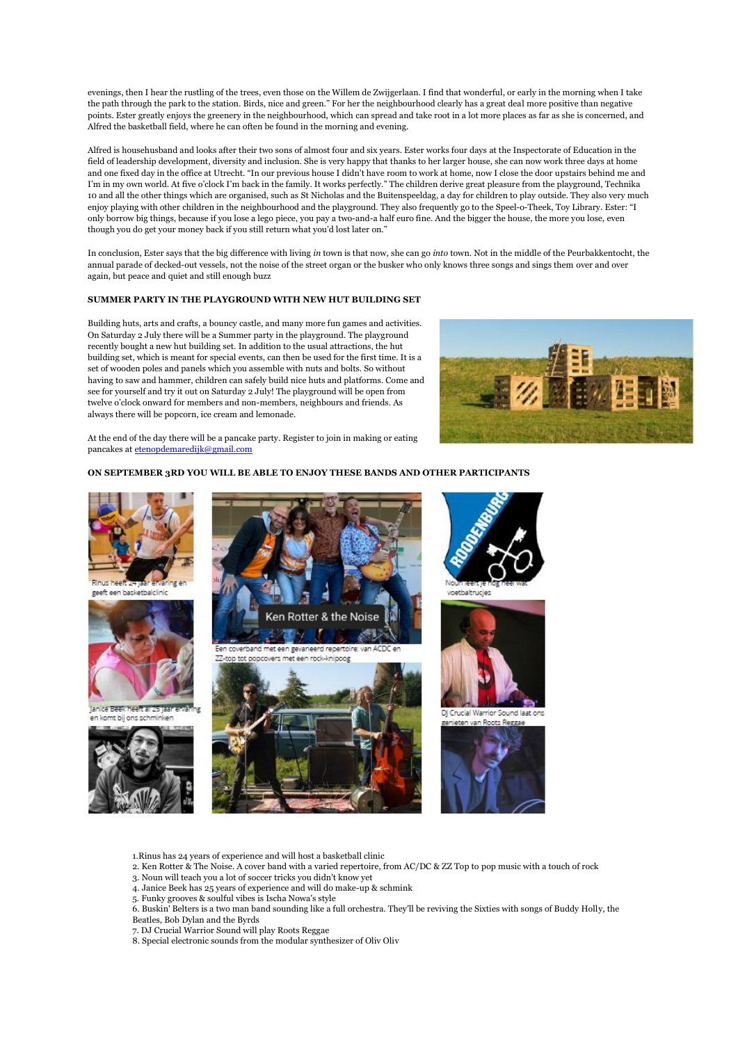evenings, then I hear the rustling of the trees, even those on the Willem de Zwijgerlaan. I find that wonderful, or early in the morning when I take the path through the park to the station. Birds, nice and green." For her the neighbourhood clearly has a great deal more positive than negative points. Ester greatly enjoys the greenery in the neighbourhood, which can spread and take root in a lot more places as far as she is concerned, and Alfred the basketball field, where he can often be found in the morning and evening.

Alfred is househusband and looks after their two sons of almost four and six years. Ester works four days at the Inspectorate of Education in the field of leadership development, diversity and inclusion. She is very happy that thanks to her larger house, she can now work three days at home and one fixed day in the office at Utrecht. "In our previous house I didn't have room to work at home, now I close the door upstairs behind me and I'm in my own world. At five o'clock I'm back in the family. It works perfectly." The children derive great pleasure from the playground, Technika 10 and all the other things which are organised, such as St Nicholas and the Buitenspeeldag, a day for children to play outside. They also very much enjoy playing with other children in the neighbourhood and the playground. They also frequently go to the Speel-o-Theek, Toy Library. Ester: "I only borrow big things, because if you lose a lego piece, you pay a two-and-a half euro fine. And the bigger the house, the more you lose, even though you do get your money back if you still return what you'd lost later on."

In conclusion, Ester says that the big difference with living *in* town is that now, she can go *into* town. Not in the middle of the Peurbakkentocht, the annual parade of decked-out vessels, not the noise of the street organ or the busker who only knows three songs and sings them over and over again, but peace and quiet and still enough buzz

# **SUMMER PARTY IN THE PLAYGROUND WITH NEW HUT BUILDING SET**

Building huts, arts and crafts, a bouncy castle, and many more fun games and activities. On Saturday 2 July there will be a Summer party in the playground. The playground recently bought a new hut building set. In addition to the usual attractions, the hut building set, which is meant for special events, can then be used for the first time. It is a set of wooden poles and panels which you assemble with nuts and bolts. So without having to saw and hammer, children can safely build nice huts and platforms. Come and see for yourself and try it out on Saturday 2 July! The playground will be open from twelve o'clock onward for members and non-members, neighbours and friends. As always there will be popcorn, ice cream and lemonade.



At the end of the day there will be a pancake party. Register to join in making or eating pancakes a[t etenopdemaredijk@gmail.com](mailto:etenopdemaredijk@gmail.com)

# **ON SEPTEMBER 3RD YOU WILL BE ABLE TO ENJOY THESE BANDS AND OTHER PARTICIPANTS**







DJ Crucial Warrior Sound laat ons ieten van Roots Reggae



- 1.Rinus has 24 years of experience and will host a basketball clinic
- 2. Ken Rotter & The Noise. A cover band with a varied repertoire, from AC/DC & ZZ Top to pop music with a touch of rock
- 3. Noun will teach you a lot of soccer tricks you didn't know yet
- 4. Janice Beek has 25 years of experience and will do make-up & schmink
- 5. Funky grooves & soulful vibes is Ischa Nowa's style
- 6. Buskin' Belters is a two man band sounding like a full orchestra. They'll be reviving the Sixties with songs of Buddy Holly, the Beatles, Bob Dylan and the Byrds
- 
- 7. DJ Crucial Warrior Sound will play Roots Reggae
- 8. Special electronic sounds from the modular synthesizer of Oliv Oliv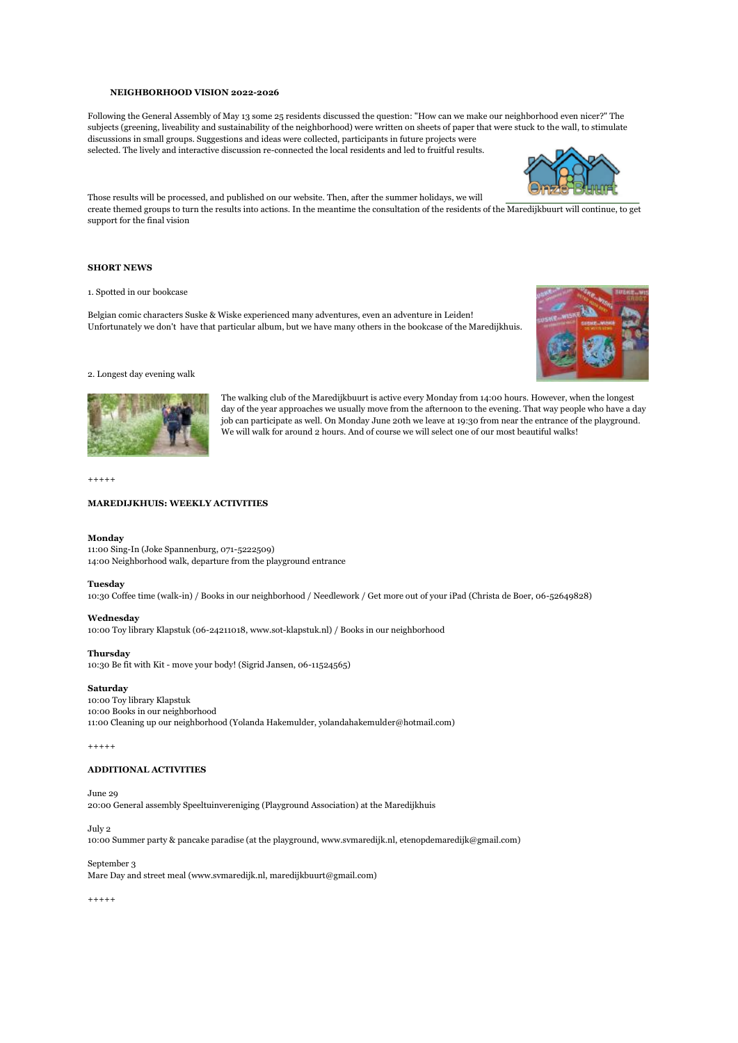## **NEIGHBORHOOD VISION 2022-2026**

Following the General Assembly of May 13 some 25 residents discussed the question: "How can we make our neighborhood even nicer?" The subjects (greening, liveability and sustainability of the neighborhood) were written on sheets of paper that were stuck to the wall, to stimulate discussions in small groups. Suggestions and ideas were collected, participants in future projects were

selected. The lively and interactive discussion re-connected the local residents and led to fruitful results.



Those results will be processed, and published on our website. Then, after the summer holidays, we will create themed groups to turn the results into actions. In the meantime the consultation of the residents of the Maredijkbuurt will continue, to get support for the final vision

# **SHORT NEWS**

1. Spotted in our bookcase

Belgian comic characters Suske & Wiske experienced many adventures, even an adventure in Leiden! Unfortunately we don't have that particular album, but we have many others in the bookcase of the Maredijkhuis.



### 2. Longest day evening walk



The walking club of the Maredijkbuurt is active every Monday from 14:00 hours. However, when the longest day of the year approaches we usually move from the afternoon to the evening. That way people who have a day job can participate as well. On Monday June 20th we leave at 19:30 from near the entrance of the playground. We will walk for around 2 hours. And of course we will select one of our most beautiful walks!

 $+++++$ 

# **MAREDIJKHUIS: WEEKLY ACTIVITIES**

# **Monday**

11:00 Sing-In (Joke Spannenburg, 071-5222509) 14:00 Neighborhood walk, departure from the playground entrance

### **Tuesday**

10:30 Coffee time (walk-in) / Books in our neighborhood / Needlework / Get more out of your iPad (Christa de Boer, 06-52649828)

#### **Wednesday**

10:00 Toy library Klapstuk (06-24211018, www.sot-klapstuk.nl) / Books in our neighborhood

### **Thursday**

10:30 Be fit with Kit - move your body! (Sigrid Jansen, 06-11524565)

# **Saturday**

10:00 Toy library Klapstuk 10:00 Books in our neighborhood 11:00 Cleaning up our neighborhood (Yolanda Hakemulder, yolandahakemulder@hotmail.com)

 $+++++$ 

# **ADDITIONAL ACTIVITIES**

## June 29

20:00 General assembly Speeltuinvereniging (Playground Association) at the Maredijkhuis

#### July 2

10:00 Summer party & pancake paradise (at the playground, www.svmaredijk.nl, etenopdemaredijk@gmail.com)

September 3

Mare Day and street meal (www.svmaredijk.nl, maredijkbuurt@gmail.com)

+++++